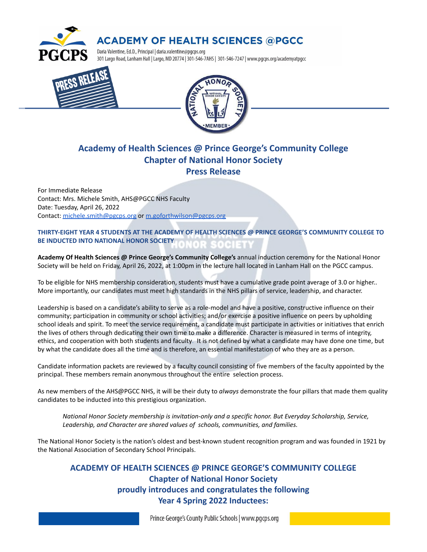

## **ACADEMY OF HEALTH SCIENCES @PGCC**

Daria Valentine, Ed.D., Principal | daria.valentine@pgcps.org 301 Largo Road, Lanham Hall | Largo, MD 20774 | 301-546-7AHS | 301-546-7247 | www.pgcps.org/academyatpgcc





## **Academy of Health Sciences @ Prince George's Community College Chapter of National Honor Society Press Release**

For Immediate Release Contact: Mrs. Michele Smith, AHS@PGCC NHS Faculty Date: Tuesday, April 26, 2022 Contact: [michele.smith@pgcps.org](mailto:michele.smith@pgcps.org) or [m.goforthwilson@pgcps.org](mailto:m.goforthwilson@pgcps.org)

## **THIRTY-EIGHT YEAR 4 STUDENTS AT THE ACADEMY OF HEALTH SCIENCES @ PRINCE GEORGE'S COMMUNITY COLLEGE TO BE INDUCTED INTO NATIONAL HONOR SOCIETY**

**Academy Of Health Sciences @ Prince George's Community College's** annual induction ceremony for the National Honor Society will be held on Friday, April 26, 2022, at 1:00pm in the lecture hall located in Lanham Hall on the PGCC campus.

To be eligible for NHS membership consideration, students must have a cumulative grade point average of 3.0 or higher.. More importantly, our candidates must meet high standards in the NHS pillars of service, leadership, and character.

Leadership is based on a candidate's ability to serve as a role-model and have a positive, constructive influence on their community; participation in community or school activities; and/or exercise a positive influence on peers by upholding school ideals and spirit. To meet the service requirement, a candidate must participate in activities or initiatives that enrich the lives of others through dedicating their own time to make a difference. Character is measured in terms of integrity, ethics, and cooperation with both students and faculty. It is not defined by what a candidate may have done one time, but by what the candidate does all the time and is therefore, an essential manifestation of who they are as a person.

Candidate information packets are reviewed by a faculty council consisting of five members of the faculty appointed by the principal. These members remain anonymous throughout the entire selection process.

As new members of the AHS@PGCC NHS, it will be their duty to *always* demonstrate the four pillars that made them quality candidates to be inducted into this prestigious organization.

*National Honor Society membership is invitation-only and a specific honor. But Everyday Scholarship, Service, Leadership, and Character are shared values of schools, communities, and families.*

The National Honor Society is the nation's oldest and best-known student recognition program and was founded in 1921 by the National Association of Secondary School Principals.

**ACADEMY OF HEALTH SCIENCES @ PRINCE GEORGE'S COMMUNITY COLLEGE Chapter of National Honor Society proudly introduces and congratulates the following Year 4 Spring 2022 Inductees:**

Prince George's County Public Schools | www.pgcps.org